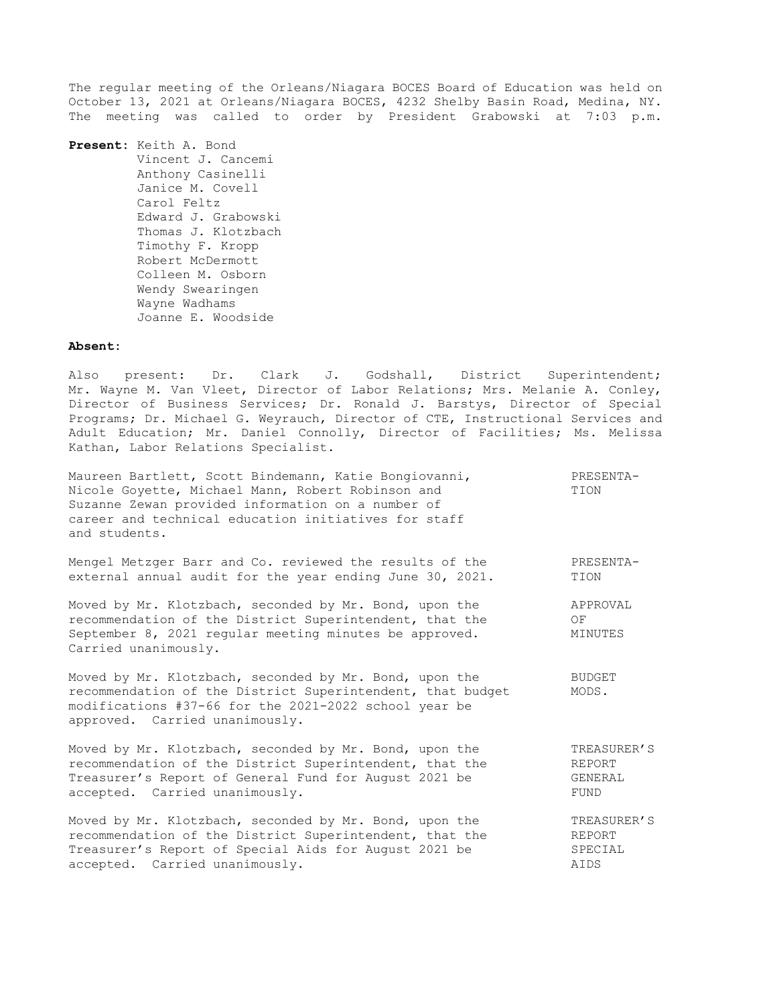The regular meeting of the Orleans/Niagara BOCES Board of Education was held on October 13, 2021 at Orleans/Niagara BOCES, 4232 Shelby Basin Road, Medina, NY. The meeting was called to order by President Grabowski at 7:03 p.m.

**Present:** Keith A. Bond Vincent J. Cancemi Anthony Casinelli Janice M. Covell Carol Feltz Edward J. Grabowski Thomas J. Klotzbach Timothy F. Kropp Robert McDermott Colleen M. Osborn Wendy Swearingen Wayne Wadhams Joanne E. Woodside

#### **Absent:**

Also present: Dr. Clark J. Godshall, District Superintendent; Mr. Wayne M. Van Vleet, Director of Labor Relations; Mrs. Melanie A. Conley, Director of Business Services; Dr. Ronald J. Barstys, Director of Special Programs; Dr. Michael G. Weyrauch, Director of CTE, Instructional Services and Adult Education; Mr. Daniel Connolly, Director of Facilities; Ms. Melissa Kathan, Labor Relations Specialist.

| Maureen Bartlett, Scott Bindemann, Katie Bongiovanni,<br>Nicole Goyette, Michael Mann, Robert Robinson and<br>Suzanne Zewan provided information on a number of<br>career and technical education initiatives for staff<br>and students. | PRESENTA-<br>TION         |
|------------------------------------------------------------------------------------------------------------------------------------------------------------------------------------------------------------------------------------------|---------------------------|
| Mengel Metzger Barr and Co. reviewed the results of the                                                                                                                                                                                  | PRESENTA-                 |
| external annual audit for the year ending June 30, 2021.                                                                                                                                                                                 | TION                      |
| Moved by Mr. Klotzbach, seconded by Mr. Bond, upon the<br>recommendation of the District Superintendent, that the<br>September 8, 2021 regular meeting minutes be approved.<br>Carried unanimously.                                      | APPROVAL<br>OF<br>MINUTES |
| Moved by Mr. Klotzbach, seconded by Mr. Bond, upon the<br>recommendation of the District Superintendent, that budget<br>modifications #37-66 for the 2021-2022 school year be<br>approved. Carried unanimously.                          | BUDGET<br>MODS.           |
| Moved by Mr. Klotzbach, seconded by Mr. Bond, upon the                                                                                                                                                                                   | TREASURER'S               |
| recommendation of the District Superintendent, that the                                                                                                                                                                                  | REPORT                    |
| Treasurer's Report of General Fund for August 2021 be                                                                                                                                                                                    | GENERAL                   |
| accepted. Carried unanimously.                                                                                                                                                                                                           | FUND                      |
| Moved by Mr. Klotzbach, seconded by Mr. Bond, upon the                                                                                                                                                                                   | TREASURER'S               |
| recommendation of the District Superintendent, that the                                                                                                                                                                                  | REPORT                    |
| Treasurer's Report of Special Aids for August 2021 be                                                                                                                                                                                    | SPECIAL                   |
| accepted. Carried unanimously.                                                                                                                                                                                                           | AIDS                      |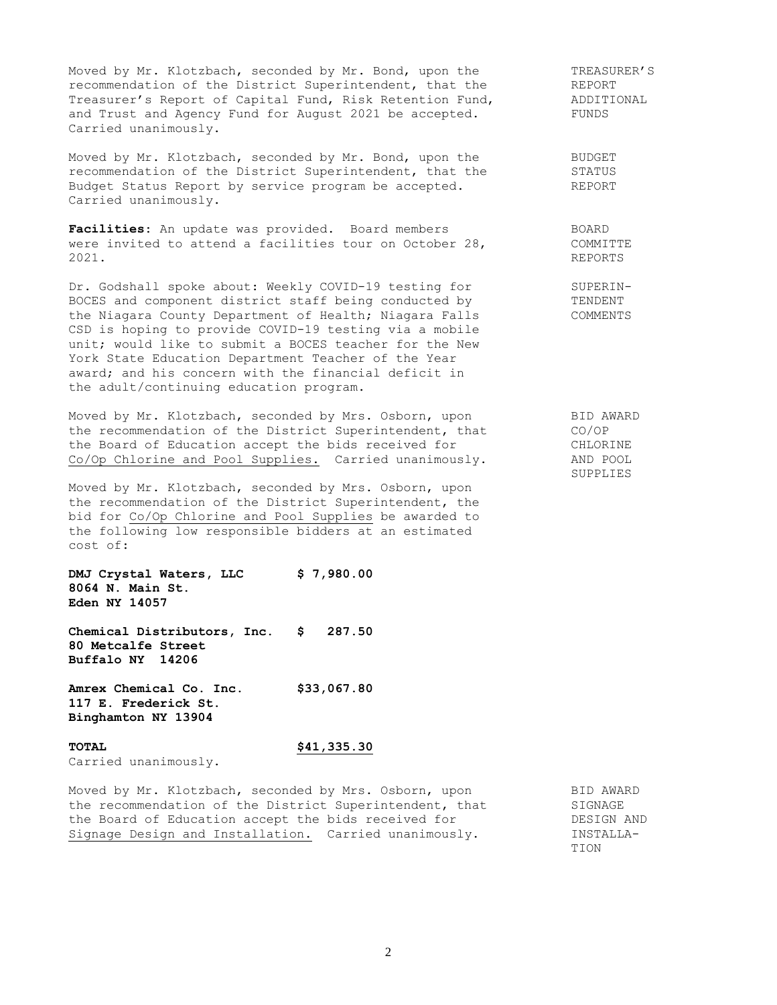Moved by Mr. Klotzbach, seconded by Mr. Bond, upon the TREASURER'S recommendation of the District Superintendent, that the REPORT Treasurer's Report of Capital Fund, Risk Retention Fund, ADDITIONAL and Trust and Agency Fund for August 2021 be accepted. FUNDS Carried unanimously.

Moved by Mr. Klotzbach, seconded by Mr. Bond, upon the **BUDGET** recommendation of the District Superintendent, that the STATUS Budget Status Report by service program be accepted. The REPORT Carried unanimously.

Facilities: An update was provided. Board members BOARD BOARD<br>were invited to attend a facilities tour on October 28, COMMITTE were invited to attend a facilities tour on October 28, 2021. REPORTS

Dr. Godshall spoke about: Weekly COVID-19 testing for SUPERIN-BOCES and component district staff being conducted by TENDENT the Niagara County Department of Health; Niagara Falls COMMENTS CSD is hoping to provide COVID-19 testing via a mobile unit; would like to submit a BOCES teacher for the New York State Education Department Teacher of the Year award; and his concern with the financial deficit in the adult/continuing education program.

Moved by Mr. Klotzbach, seconded by Mrs. Osborn, upon BID AWARD the recommendation of the District Superintendent, that CO/OP the Board of Education accept the bids received for CHLORINE Co/Op Chlorine and Pool Supplies. Carried unanimously. AND POOL

Moved by Mr. Klotzbach, seconded by Mrs. Osborn, upon the recommendation of the District Superintendent, the bid for Co/Op Chlorine and Pool Supplies be awarded to the following low responsible bidders at an estimated cost of:

**DMJ Crystal Waters, LLC \$ 7,980.00 8064 N. Main St. Eden NY 14057**

**Chemical Distributors, Inc. \$ 287.50 80 Metcalfe Street Buffalo NY 14206**

**Amrex Chemical Co. Inc. \$33,067.80 117 E. Frederick St. Binghamton NY 13904**

# **TOTAL \$41,335.30**

Carried unanimously.

Moved by Mr. Klotzbach, seconded by Mrs. Osborn, upon BID AWARD the recommendation of the District Superintendent, that SIGNAGE the Board of Education accept the bids received for The DESIGN AND Signage Design and Installation. Carried unanimously. INSTALLA-

TION

SUPPLIES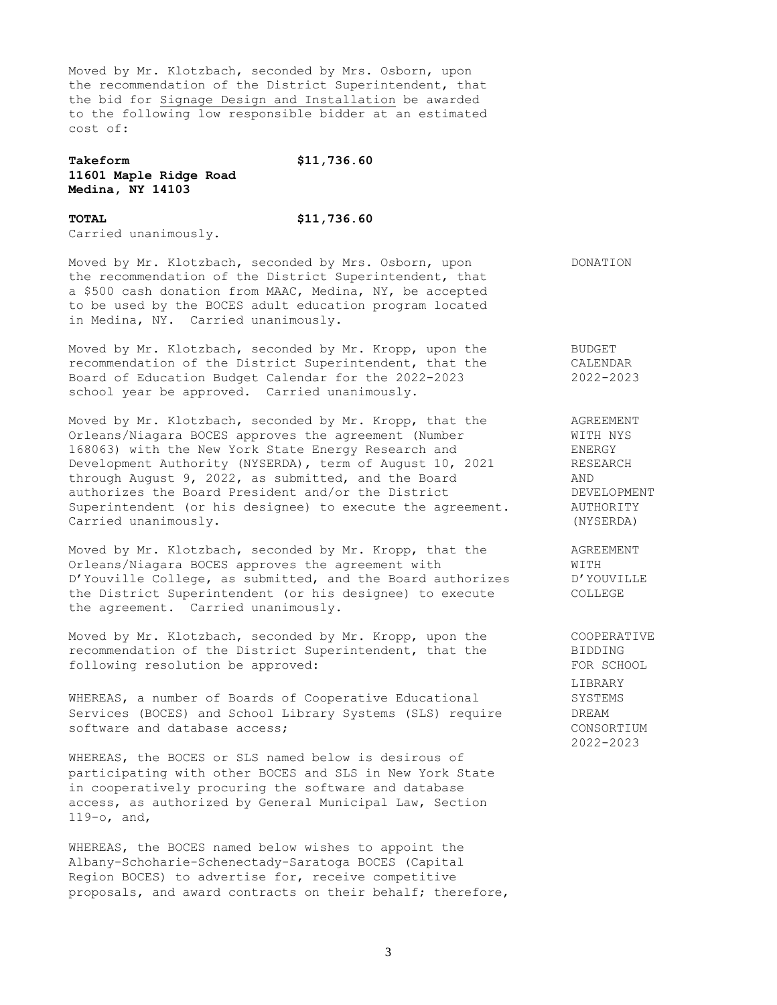Moved by Mr. Klotzbach, seconded by Mrs. Osborn, upon the recommendation of the District Superintendent, that the bid for Signage Design and Installation be awarded to the following low responsible bidder at an estimated cost of:

## **Takeform \$11,736.60 11601 Maple Ridge Road Medina, NY 14103**

## **TOTAL \$11,736.60** Carried unanimously.

Moved by Mr. Klotzbach, seconded by Mrs. Osborn, upon DONATION the recommendation of the District Superintendent, that a \$500 cash donation from MAAC, Medina, NY, be accepted to be used by the BOCES adult education program located in Medina, NY. Carried unanimously.

Moved by Mr. Klotzbach, seconded by Mr. Kropp, upon the BUDGET recommendation of the District Superintendent, that the CALENDAR Board of Education Budget Calendar for the 2022-2023 2022-2023 school year be approved. Carried unanimously.

Moved by Mr. Klotzbach, seconded by Mr. Kropp, that the agREEMENT<br>Orleans/Niagara BOCES approves the agreement (Number and MITH NYS Orleans/Niagara BOCES approves the agreement (Number WITH NTH NTH NTH)<br>168063) with the New York State Energy Research and ENERGY 168063) with the New York State Energy Research and Development Authority (NYSERDA), term of August 10, 2021 RESEARCH Development Authority (Nibertal), common cases of through August 9, 2022, as submitted, and the Board AND authorizes the Board President and/or the District DEVELOPMENT Superintendent (or his designee) to execute the agreement. AUTHORITY Carried unanimously. (NYSERDA)

Moved by Mr. Klotzbach, seconded by Mr. Kropp, that the AGREEMENT Orleans/Niagara BOCES approves the agreement with WITH D'Youville College, as submitted, and the Board authorizes D'YOUVILLE the District Superintendent (or his designee) to execute COLLEGE the agreement. Carried unanimously.

Moved by Mr. Klotzbach, seconded by Mr. Kropp, upon the COOPERATIVE recommendation of the District Superintendent, that the BIDDING recommendation of the District Superintendent, that the following resolution be approved: FOR SCHOOL

WHEREAS, a number of Boards of Cooperative Educational SYSTEMS Services (BOCES) and School Library Systems (SLS) require DREAM software and database access; example and the consolidation of the consolidation of the consolidation of the consolidation of the consolidation of the consolidation of the consolidation of the consolidation of the consolid

WHEREAS, the BOCES or SLS named below is desirous of participating with other BOCES and SLS in New York State in cooperatively procuring the software and database access, as authorized by General Municipal Law, Section 119-o, and,

WHEREAS, the BOCES named below wishes to appoint the Albany-Schoharie-Schenectady-Saratoga BOCES (Capital Region BOCES) to advertise for, receive competitive proposals, and award contracts on their behalf; therefore,

LIBRARY 2022-2023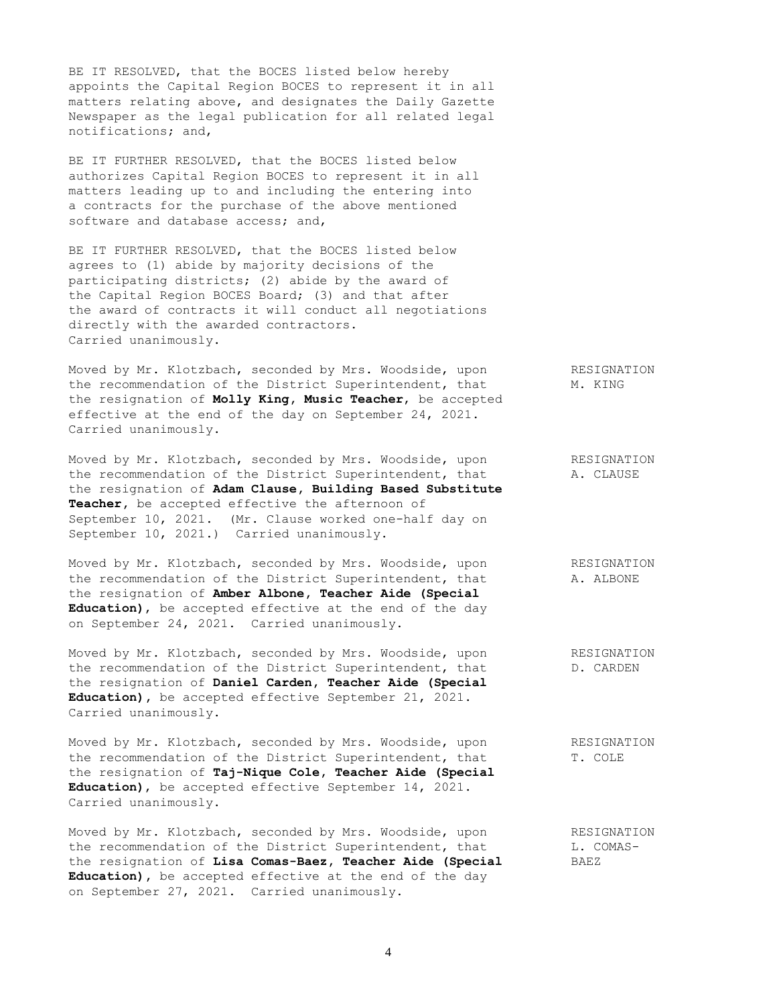BE IT RESOLVED, that the BOCES listed below hereby appoints the Capital Region BOCES to represent it in all matters relating above, and designates the Daily Gazette Newspaper as the legal publication for all related legal notifications; and,

BE IT FURTHER RESOLVED, that the BOCES listed below authorizes Capital Region BOCES to represent it in all matters leading up to and including the entering into a contracts for the purchase of the above mentioned software and database access; and,

BE IT FURTHER RESOLVED, that the BOCES listed below agrees to (1) abide by majority decisions of the participating districts; (2) abide by the award of the Capital Region BOCES Board; (3) and that after the award of contracts it will conduct all negotiations directly with the awarded contractors. Carried unanimously.

Moved by Mr. Klotzbach, seconded by Mrs. Woodside, upon RESIGNATION the recommendation of the District Superintendent, that M. KING the resignation of **Molly King, Music Teacher**, be accepted effective at the end of the day on September 24, 2021. Carried unanimously.

Moved by Mr. Klotzbach, seconded by Mrs. Woodside, upon RESIGNATION the recommendation of the District Superintendent, that A. CLAUSE the resignation of **Adam Clause, Building Based Substitute Teacher,** be accepted effective the afternoon of September 10, 2021. (Mr. Clause worked one-half day on September 10, 2021.) Carried unanimously.

Moved by Mr. Klotzbach, seconded by Mrs. Woodside, upon RESIGNATION the recommendation of the District Superintendent, that A. ALBONE the resignation of **Amber Albone, Teacher Aide (Special Education)**, be accepted effective at the end of the day on September 24, 2021. Carried unanimously.

Moved by Mr. Klotzbach, seconded by Mrs. Woodside, upon RESIGNATION the recommendation of the District Superintendent, that D. CARDEN the resignation of **Daniel Carden, Teacher Aide (Special Education),** be accepted effective September 21, 2021. Carried unanimously.

Moved by Mr. Klotzbach, seconded by Mrs. Woodside, upon RESIGNATION the recommendation of the District Superintendent, that T. COLE the resignation of **Taj-Nique Cole, Teacher Aide (Special Education)**, be accepted effective September 14, 2021. Carried unanimously.

Moved by Mr. Klotzbach, seconded by Mrs. Woodside, upon RESIGNATION the recommendation of the District Superintendent, that L. COMASthe resignation of **Lisa Comas-Baez, Teacher Aide (Special** BAEZ **Education),** be accepted effective at the end of the day on September 27, 2021. Carried unanimously.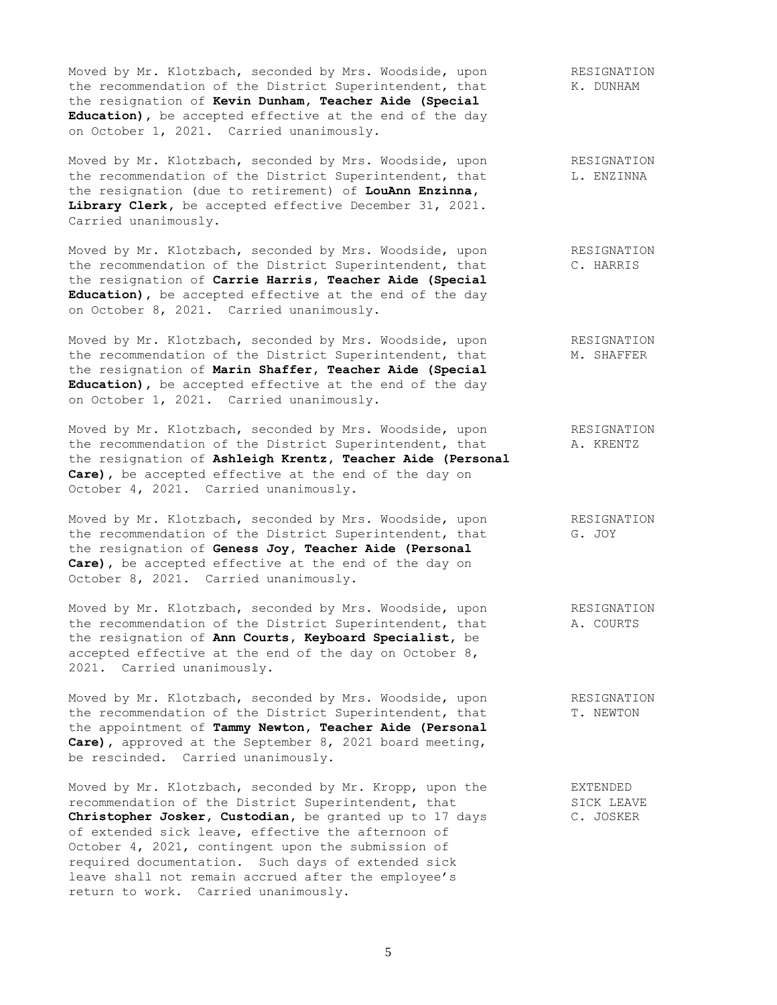Moved by Mr. Klotzbach, seconded by Mrs. Woodside, upon RESIGNATION the recommendation of the District Superintendent, that K. DUNHAM the resignation of **Kevin Dunham, Teacher Aide (Special Education),** be accepted effective at the end of the day on October 1, 2021. Carried unanimously.

Moved by Mr. Klotzbach, seconded by Mrs. Woodside, upon RESIGNATION the recommendation of the District Superintendent, that  $L$ . ENZINNA the resignation (due to retirement) of **LouAnn Enzinna,** Library Clerk, be accepted effective December 31, 2021. Carried unanimously.

Moved by Mr. Klotzbach, seconded by Mrs. Woodside, upon RESIGNATION the recommendation of the District Superintendent, that C. HARRIS the resignation of **Carrie Harris, Teacher Aide (Special Education),** be accepted effective at the end of the day on October 8, 2021. Carried unanimously.

Moved by Mr. Klotzbach, seconded by Mrs. Woodside, upon RESIGNATION the recommendation of the District Superintendent, that M. SHAFFER the resignation of **Marin Shaffer, Teacher Aide (Special Education),** be accepted effective at the end of the day on October 1, 2021. Carried unanimously.

Moved by Mr. Klotzbach, seconded by Mrs. Woodside, upon RESIGNATION the recommendation of the District Superintendent, that A. KRENTZ the resignation of **Ashleigh Krentz, Teacher Aide (Personal Care),** be accepted effective at the end of the day on October 4, 2021. Carried unanimously.

Moved by Mr. Klotzbach, seconded by Mrs. Woodside, upon RESIGNATION the recommendation of the District Superintendent, that G. JOY the resignation of **Geness Joy, Teacher Aide (Personal Care),** be accepted effective at the end of the day on October 8, 2021. Carried unanimously.

Moved by Mr. Klotzbach, seconded by Mrs. Woodside, upon RESIGNATION the recommendation of the District Superintendent, that A. COURTS the resignation of **Ann Courts, Keyboard Specialist,** be accepted effective at the end of the day on October 8, 2021. Carried unanimously.

Moved by Mr. Klotzbach, seconded by Mrs. Woodside, upon RESIGNATION the recommendation of the District Superintendent, that T. NEWTON the appointment of **Tammy Newton, Teacher Aide (Personal Care),** approved at the September 8, 2021 board meeting, be rescinded. Carried unanimously.

Moved by Mr. Klotzbach, seconded by Mr. Kropp, upon the EXTENDED recommendation of the District Superintendent, that SICK LEAVE<br> **Christopher Josker, Custodian,** be granted up to 17 days C. JOSKER Christopher Josker, Custodian, be granted up to 17 days of extended sick leave, effective the afternoon of October 4, 2021, contingent upon the submission of required documentation. Such days of extended sick leave shall not remain accrued after the employee's return to work. Carried unanimously.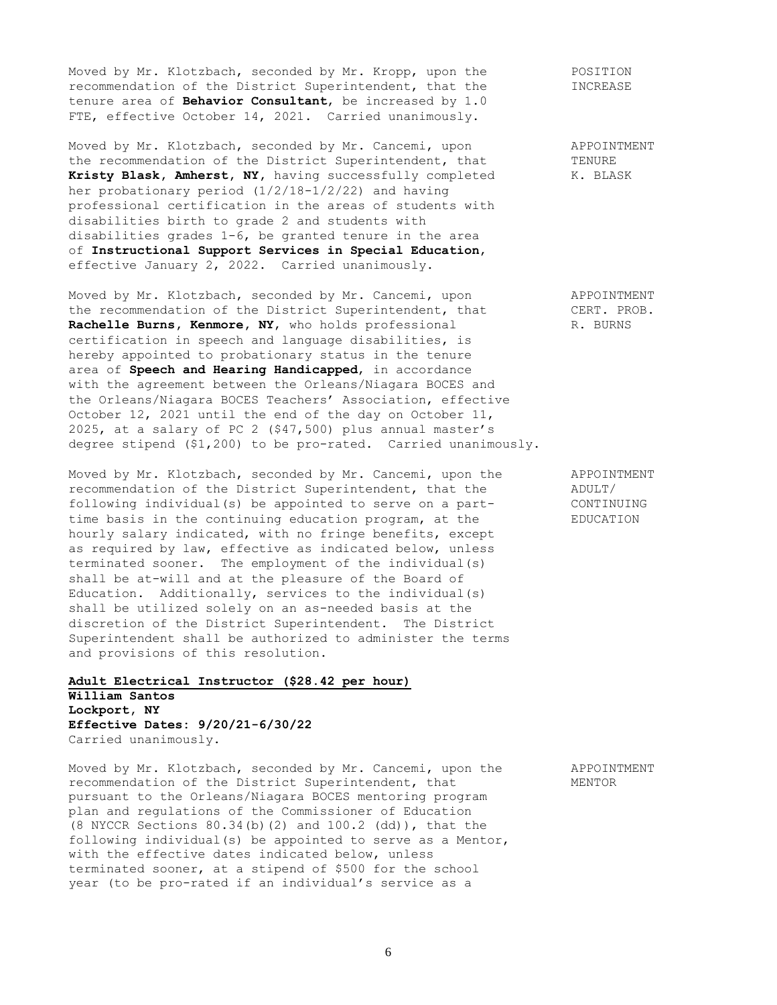Moved by Mr. Klotzbach, seconded by Mr. Kropp, upon the POSITION recommendation of the District Superintendent, that the INCREASE tenure area of **Behavior Consultant**, be increased by 1.0 FTE, effective October 14, 2021. Carried unanimously.

Moved by Mr. Klotzbach, seconded by Mr. Cancemi, upon APPOINTMENT the recommendation of the District Superintendent, that TENURE Kristy Blask, Amherst, NY, having successfully completed K. BLASK her probationary period (1/2/18-1/2/22) and having professional certification in the areas of students with disabilities birth to grade 2 and students with disabilities grades 1-6, be granted tenure in the area of **Instructional Support Services in Special Education**, effective January 2, 2022. Carried unanimously.

Moved by Mr. Klotzbach, seconded by Mr. Cancemi, upon APPOINTMENT the recommendation of the District Superintendent, that CERT. PROB. **Rachelle Burns, Kenmore, NY,** who holds professional R. BURNS certification in speech and language disabilities, is hereby appointed to probationary status in the tenure area of **Speech and Hearing Handicapped**, in accordance with the agreement between the Orleans/Niagara BOCES and the Orleans/Niagara BOCES Teachers' Association, effective October 12, 2021 until the end of the day on October 11, 2025, at a salary of PC 2 (\$47,500) plus annual master's degree stipend (\$1,200) to be pro-rated. Carried unanimously.

Moved by Mr. Klotzbach, seconded by Mr. Cancemi, upon the APPOINTMENT recommendation of the District Superintendent, that the ADULT/ following individual(s) be appointed to serve on a part- CONTINUING time basis in the continuing education program, at the EDUCATION hourly salary indicated, with no fringe benefits, except as required by law, effective as indicated below, unless terminated sooner. The employment of the individual(s) shall be at-will and at the pleasure of the Board of Education. Additionally, services to the individual(s) shall be utilized solely on an as-needed basis at the discretion of the District Superintendent. The District Superintendent shall be authorized to administer the terms and provisions of this resolution.

# **Adult Electrical Instructor (\$28.42 per hour) William Santos Lockport, NY Effective Dates: 9/20/21-6/30/22** Carried unanimously.

Moved by Mr. Klotzbach, seconded by Mr. Cancemi, upon the APPOINTMENT recommendation of the District Superintendent, that MENTOR pursuant to the Orleans/Niagara BOCES mentoring program plan and regulations of the Commissioner of Education (8 NYCCR Sections 80.34(b)(2) and 100.2 (dd)), that the following individual(s) be appointed to serve as a Mentor, with the effective dates indicated below, unless terminated sooner, at a stipend of \$500 for the school year (to be pro-rated if an individual's service as a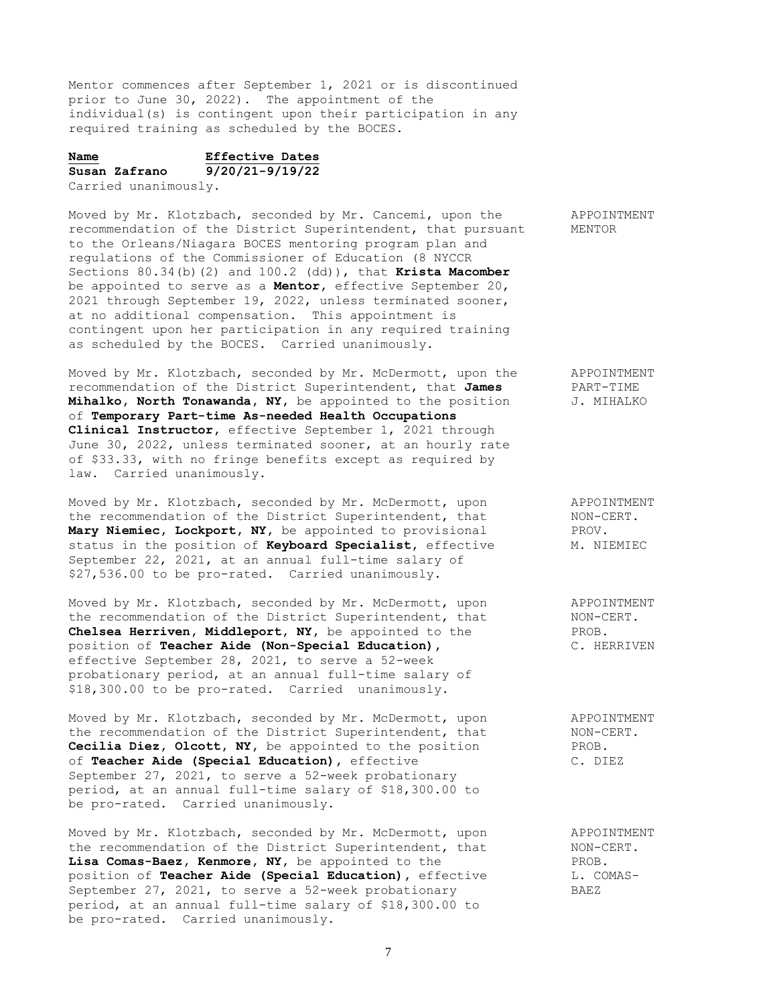Mentor commences after September 1, 2021 or is discontinued prior to June 30, 2022). The appointment of the individual(s) is contingent upon their participation in any required training as scheduled by the BOCES.

# **Name Effective Dates Susan Zafrano 9/20/21-9/19/22**

Carried unanimously.

Moved by Mr. Klotzbach, seconded by Mr. Cancemi, upon the APPOINTMENT recommendation of the District Superintendent, that pursuant MENTOR to the Orleans/Niagara BOCES mentoring program plan and regulations of the Commissioner of Education (8 NYCCR Sections 80.34(b)(2) and 100.2 (dd)), that **Krista Macomber** be appointed to serve as a **Mentor,** effective September 20, 2021 through September 19, 2022, unless terminated sooner, at no additional compensation. This appointment is contingent upon her participation in any required training as scheduled by the BOCES. Carried unanimously.

Moved by Mr. Klotzbach, seconded by Mr. McDermott, upon the APPOINTMENT recommendation of the District Superintendent, that **James** PART-TIME **Mihalko, North Tonawanda, NY,** be appointed to the position J. MIHALKO of **Temporary Part-time As-needed Health Occupations Clinical Instructor,** effective September 1, 2021 through June 30, 2022, unless terminated sooner, at an hourly rate of \$33.33, with no fringe benefits except as required by law. Carried unanimously.

Moved by Mr. Klotzbach, seconded by Mr. McDermott, upon APPOINTMENT the recommendation of the District Superintendent, that MON-CERT.<br> **Mary Niemiec, Lockport, NY,** be appointed to provisional PROV. Mary Niemiec, Lockport, NY, be appointed to provisional status in the position of **Keyboard Specialist**, effective M. NIEMIEC September 22, 2021, at an annual full-time salary of \$27,536.00 to be pro-rated. Carried unanimously.

Moved by Mr. Klotzbach, seconded by Mr. McDermott, upon appoinTMENT<br>the recommendation of the District Superintendent, that MON-CERT. the recommendation of the District Superintendent, that MON-Ci<br> **Chelsea Herriven, Middleport, NY**, be appointed to the PROB. Chelsea Herriven, Middleport, NY, be appointed to the position of **Teacher Aide (Non-Special Education),** C. HERRIVEN effective September 28, 2021, to serve a 52-week probationary period, at an annual full-time salary of \$18,300.00 to be pro-rated. Carried unanimously.

Moved by Mr. Klotzbach, seconded by Mr. McDermott, upon appoint APPOINTMENT<br>the recommendation of the District Superintendent, that MON-CERT. the recommendation of the District Superintendent, that **Cecilia Diez, Olcott, NY,** be appointed to the position PROB. of **Teacher Aide (Special Education),** effective C. DIEZ September 27, 2021, to serve a 52-week probationary period, at an annual full-time salary of \$18,300.00 to be pro-rated. Carried unanimously.

Moved by Mr. Klotzbach, seconded by Mr. McDermott, upon APPOINTMENT the recommendation of the District Superintendent, that  $NON-CERT$ . **Lisa Comas-Baez, Kenmore, NY,** be appointed to the PROB. position of **Teacher Aide (Special Education)**, effective L. COMAS-September 27, 2021, to serve a 52-week probationary BAEZ period, at an annual full-time salary of \$18,300.00 to be pro-rated. Carried unanimously.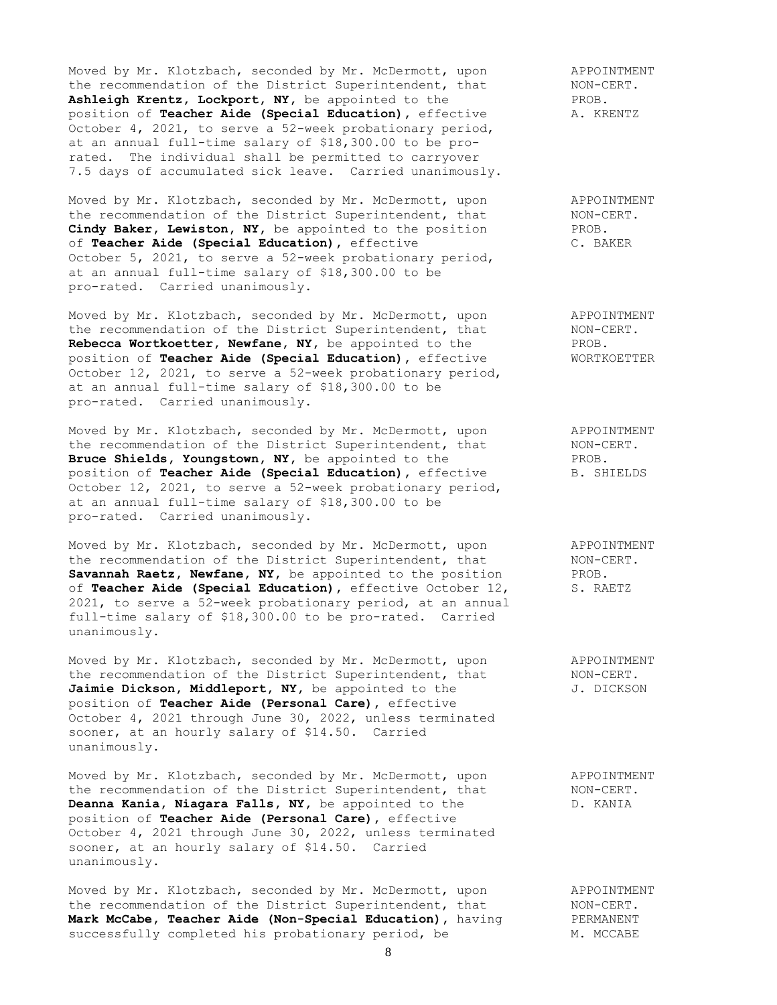Moved by Mr. Klotzbach, seconded by Mr. McDermott, upon and APPOINTMENT the recommendation of the District Superintendent, that MON-CERT. Ashleigh Krentz, Lockport, NY, be appointed to the PROB.<br>position of Teacher Aide (Special Education), effective **A. KRENTZ** position of **Teacher Aide (Special Education)**, effective October 4, 2021, to serve a 52-week probationary period, at an annual full-time salary of \$18,300.00 to be prorated. The individual shall be permitted to carryover 7.5 days of accumulated sick leave. Carried unanimously.

Moved by Mr. Klotzbach, seconded by Mr. McDermott, upon and APPOINTMENT the recommendation of the District Superintendent, that MON-CERT. Cindy Baker, Lewiston, NY, be appointed to the position PROB. of **Teacher Aide (Special Education),** effective C. BAKER October 5, 2021, to serve a 52-week probationary period, at an annual full-time salary of \$18,300.00 to be pro-rated. Carried unanimously.

Moved by Mr. Klotzbach, seconded by Mr. McDermott, upon APPOINTMENT the recommendation of the District Superintendent, that MON-CERT. **Rebecca Wortkoetter, Newfane, NY,** be appointed to the PROB. position of **Teacher Aide (Special Education),** effective WORTKOETTER October 12, 2021, to serve a 52-week probationary period, at an annual full-time salary of \$18,300.00 to be pro-rated. Carried unanimously.

Moved by Mr. Klotzbach, seconded by Mr. McDermott, upon and APPOINTMENT the recommendation of the District Superintendent, that MON-CERT. **Bruce Shields, Youngstown, NY,** be appointed to the PROB. **Bruce Shields, Youngstown, NI,** De appointed to the entry service.<br> **position of Teacher Aide (Special Education),** effective B. SHIELDS October 12, 2021, to serve a 52-week probationary period, at an annual full-time salary of \$18,300.00 to be pro-rated. Carried unanimously.

Moved by Mr. Klotzbach, seconded by Mr. McDermott, upon APPOINTMENT the recommendation of the District Superintendent, that MON-CERT. Savannah Raetz, Newfane, NY, be appointed to the position FROB.<br>
of Teacher Aide (Special Education), effective October 12, S. RAETZ of **Teacher Aide (Special Education)**, effective October 12, 2021, to serve a 52-week probationary period, at an annual full-time salary of \$18,300.00 to be pro-rated. Carried unanimously.

Moved by Mr. Klotzbach, seconded by Mr. McDermott, upon APPOINTMENT the recommendation of the District Superintendent, that MON-CERT. Jaimie Dickson, Middleport, NY, be appointed to the  $J.$  DICKSON position of **Teacher Aide (Personal Care),** effective October 4, 2021 through June 30, 2022, unless terminated sooner, at an hourly salary of \$14.50. Carried unanimously.

Moved by Mr. Klotzbach, seconded by Mr. McDermott, upon APPOINTMENT the recommendation of the District Superintendent, that MON-CERT. the recommendation of the District Superintendent, that MON-CERT.<br> **Deanna Kania, Niagara Falls, NY**, be appointed to the D. KANIA position of **Teacher Aide (Personal Care),** effective October 4, 2021 through June 30, 2022, unless terminated sooner, at an hourly salary of \$14.50. Carried unanimously.

Moved by Mr. Klotzbach, seconded by Mr. McDermott, upon and APPOINTMENT the recommendation of the District Superintendent, that MON-CERT. **Mark McCabe, Teacher Aide (Non-Special Education),** having PERMANENT successfully completed his probationary period, be M. MCCABE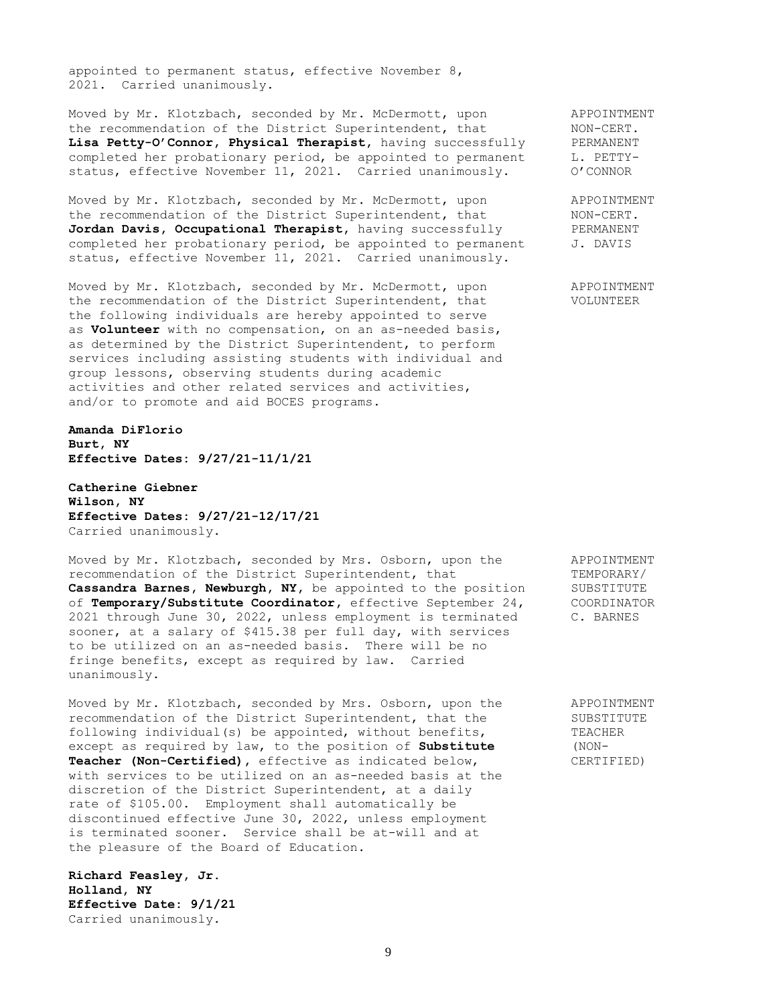appointed to permanent status, effective November 8, 2021. Carried unanimously.

Moved by Mr. Klotzbach, seconded by Mr. McDermott, upon APPOINTMENT the recommendation of the District Superintendent, that MON-CERT. the recommendation of the District Superintendent, that MON-CERT.<br> **Lisa Petty-O'Connor, Physical Therapist**, having successfully PERMANENT completed her probationary period, be appointed to permanent L. PETTYstatus, effective November 11, 2021. Carried unanimously. 0'CONNOR

Moved by Mr. Klotzbach, seconded by Mr. McDermott, upon APPOINTMENT the recommendation of the District Superintendent, that MON-CERT.<br> **Jordan Davis, Occupational Therapist**, having successfully FERMANENT Jordan Davis, Occupational Therapist, having successfully completed her probationary period, be appointed to permanent J. DAVIS status, effective November 11, 2021. Carried unanimously.

Moved by Mr. Klotzbach, seconded by Mr. McDermott, upon APPOINTMENT the recommendation of the District Superintendent, that VOLUNTEER the following individuals are hereby appointed to serve as **Volunteer** with no compensation, on an as-needed basis, as determined by the District Superintendent, to perform services including assisting students with individual and group lessons, observing students during academic activities and other related services and activities, and/or to promote and aid BOCES programs.

**Amanda DiFlorio Burt, NY Effective Dates: 9/27/21-11/1/21**

**Catherine Giebner Wilson, NY Effective Dates: 9/27/21-12/17/21** Carried unanimously.

Moved by Mr. Klotzbach, seconded by Mrs. Osborn, upon the APPOINTMENT recommendation of the District Superintendent, that TEMPORARY/ Cassandra Barnes, Newburgh, NY, be appointed to the position SUBSTITUTE of **Temporary/Substitute Coordinator,** effective September 24, COORDINATOR 2021 through June 30, 2022, unless employment is terminated C. BARNES sooner, at a salary of \$415.38 per full day, with services to be utilized on an as-needed basis. There will be no fringe benefits, except as required by law. Carried unanimously.

Moved by Mr. Klotzbach, seconded by Mrs. Osborn, upon the APPOINTMENT recommendation of the District Superintendent, that the SUBSTITUTE following individual(s) be appointed, without benefits, TEACHER except as required by law, to the position of **Substitute** (NON-**Teacher (Non-Certified)**, effective as indicated below, CERTIFIED) with services to be utilized on an as-needed basis at the discretion of the District Superintendent, at a daily rate of \$105.00. Employment shall automatically be discontinued effective June 30, 2022, unless employment is terminated sooner. Service shall be at-will and at the pleasure of the Board of Education.

**Richard Feasley, Jr. Holland, NY Effective Date: 9/1/21** Carried unanimously.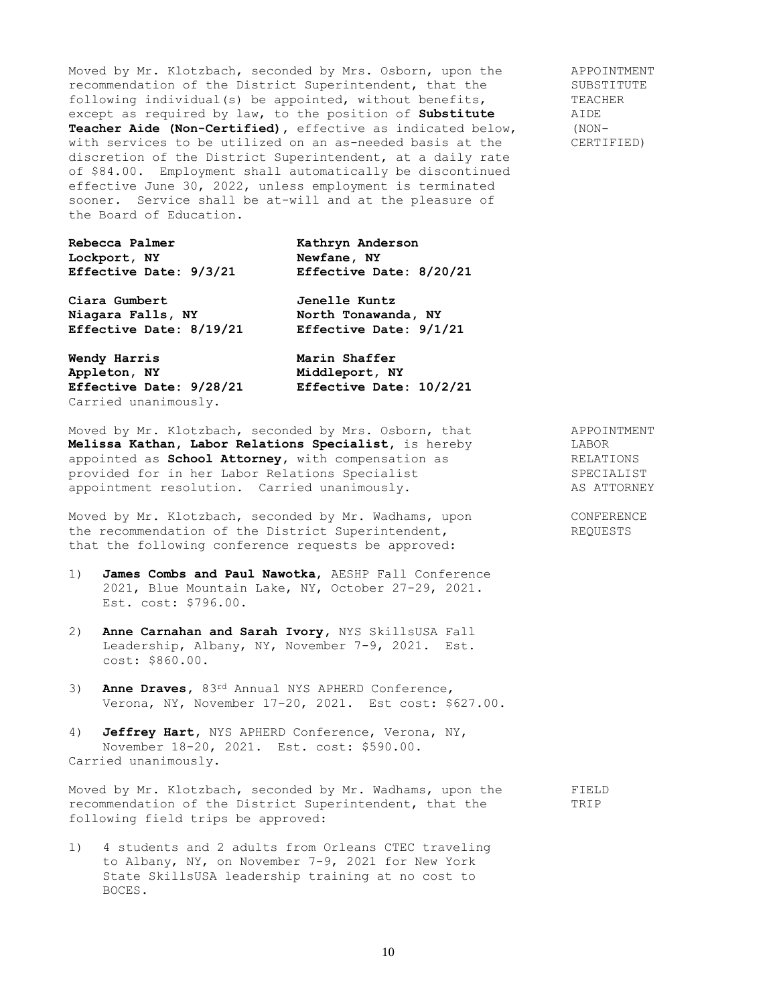Moved by Mr. Klotzbach, seconded by Mrs. Osborn, upon the APPOINTMENT recommendation of the District Superintendent, that the SUBSTITUTE<br>following individual(s) be appointed, without benefits, TEACHER following individual(s) be appointed, without benefits, except as required by law, to the position of **Substitute** AIDE **Teacher Aide (Non-Certified),** effective as indicated below, (NONwith services to be utilized on an as-needed basis at the CERTIFIED) discretion of the District Superintendent, at a daily rate of \$84.00. Employment shall automatically be discontinued effective June 30, 2022, unless employment is terminated sooner. Service shall be at-will and at the pleasure of the Board of Education.

| Rebecca Palmer<br>Lockport, NY | Kathryn Anderson<br>Newfane, NY |
|--------------------------------|---------------------------------|
| Effective Date: 9/3/21         | Effective Date: 8/20/21         |
| Ciara Gumbert                  | <b>Jenelle Kuntz</b>            |
| Niagara Falls, NY              | North Tonawanda, NY             |
| Effective Date: 8/19/21        | Effective Date: 9/1/21          |
| Wendy Harris                   | Marin Shaffer                   |
| Appleton, NY                   | Middleport, NY                  |
| Effective Date: 9/28/21        | Effective Date: 10/2/21         |

Moved by Mr. Klotzbach, seconded by Mrs. Osborn, that APPOINTMENT **Melissa Kathan, Labor Relations Specialist,** is hereby LABOR appointed as **School Attorney,** with compensation as  $RELATIONS$ provided for in her Labor Relations Specialist SPECIALIST appointment resolution. Carried unanimously. AS ATTORNEY

Carried unanimously.

Moved by Mr. Klotzbach, seconded by Mr. Wadhams, upon CONFERENCE the recommendation of the District Superintendent, REQUESTS that the following conference requests be approved:

- 1) **James Combs and Paul Nawotka**, AESHP Fall Conference 2021, Blue Mountain Lake, NY, October 27-29, 2021. Est. cost: \$796.00.
- 2) **Anne Carnahan and Sarah Ivory,** NYS SkillsUSA Fall Leadership, Albany, NY, November 7-9, 2021. Est. cost: \$860.00.
- 3) **Anne Draves,** 83rd Annual NYS APHERD Conference, Verona, NY, November 17-20, 2021. Est cost: \$627.00.
- 4) **Jeffrey Hart,** NYS APHERD Conference, Verona, NY, November 18-20, 2021. Est. cost: \$590.00. Carried unanimously.

Moved by Mr. Klotzbach, seconded by Mr. Wadhams, upon the FIELD recommendation of the District Superintendent, that the TRIP following field trips be approved:

1) 4 students and 2 adults from Orleans CTEC traveling to Albany, NY, on November 7-9, 2021 for New York State SkillsUSA leadership training at no cost to BOCES.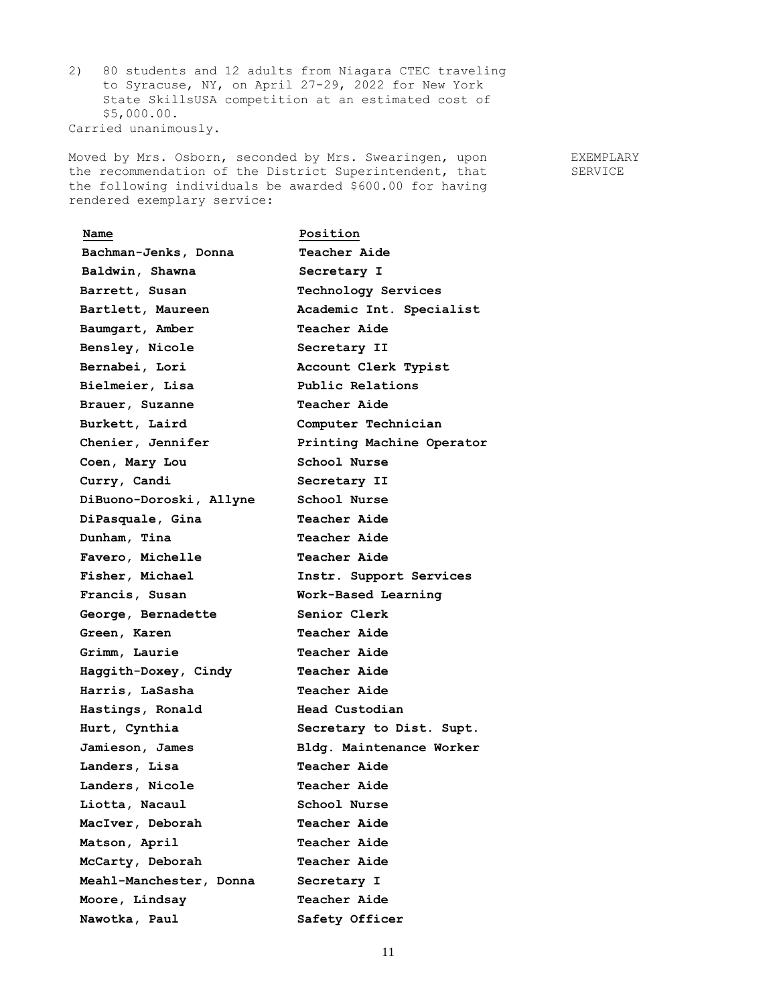2) 80 students and 12 adults from Niagara CTEC traveling to Syracuse, NY, on April 27-29, 2022 for New York State SkillsUSA competition at an estimated cost of \$5,000.00. Carried unanimously.

Moved by Mrs. Osborn, seconded by Mrs. Swearingen, upon FXEMPLARY the recommendation of the District Superintendent, that SERVICE the following individuals be awarded \$600.00 for having rendered exemplary service:

| Name                    | Position                  |
|-------------------------|---------------------------|
| Bachman-Jenks, Donna    | <b>Teacher Aide</b>       |
| Baldwin, Shawna         | Secretary I               |
| Barrett, Susan          | Technology Services       |
| Bartlett, Maureen       | Academic Int. Specialist  |
| Baumgart, Amber         | <b>Teacher Aide</b>       |
| Bensley, Nicole         | Secretary II              |
| Bernabei, Lori          | Account Clerk Typist      |
| Bielmeier, Lisa         | Public Relations          |
| Brauer, Suzanne         | <b>Teacher Aide</b>       |
| Burkett, Laird          | Computer Technician       |
| Chenier, Jennifer       | Printing Machine Operator |
| Coen, Mary Lou          | School Nurse              |
| Curry, Candi            | Secretary II              |
| DiBuono-Doroski, Allyne | School Nurse              |
| DiPasquale, Gina        | <b>Teacher Aide</b>       |
| Dunham, Tina            | <b>Teacher Aide</b>       |
| Favero, Michelle        | <b>Teacher Aide</b>       |
| Fisher, Michael         | Instr. Support Services   |
| Francis, Susan          | Work-Based Learning       |
| George, Bernadette      | Senior Clerk              |
| Green, Karen            | <b>Teacher Aide</b>       |
| Grimm, Laurie           | Teacher Aide              |
| Haggith-Doxey, Cindy    | <b>Teacher Aide</b>       |
| Harris, LaSasha         | <b>Teacher Aide</b>       |
| Hastings, Ronald        | Head Custodian            |
| Hurt, Cynthia           | Secretary to Dist. Supt.  |
| Jamieson, James         | Bldg. Maintenance Worker  |
| Landers, Lisa           | <b>Teacher Aide</b>       |
| Landers, Nicole         | <b>Teacher Aide</b>       |
| Liotta, Nacaul          | School Nurse              |
| MacIver, Deborah        | <b>Teacher Aide</b>       |
| Matson, April           | Teacher Aide              |
| McCarty, Deborah        | <b>Teacher Aide</b>       |
| Meahl-Manchester, Donna | Secretary I               |
| Moore, Lindsay          | <b>Teacher Aide</b>       |
| Nawotka, Paul           | Safety Officer            |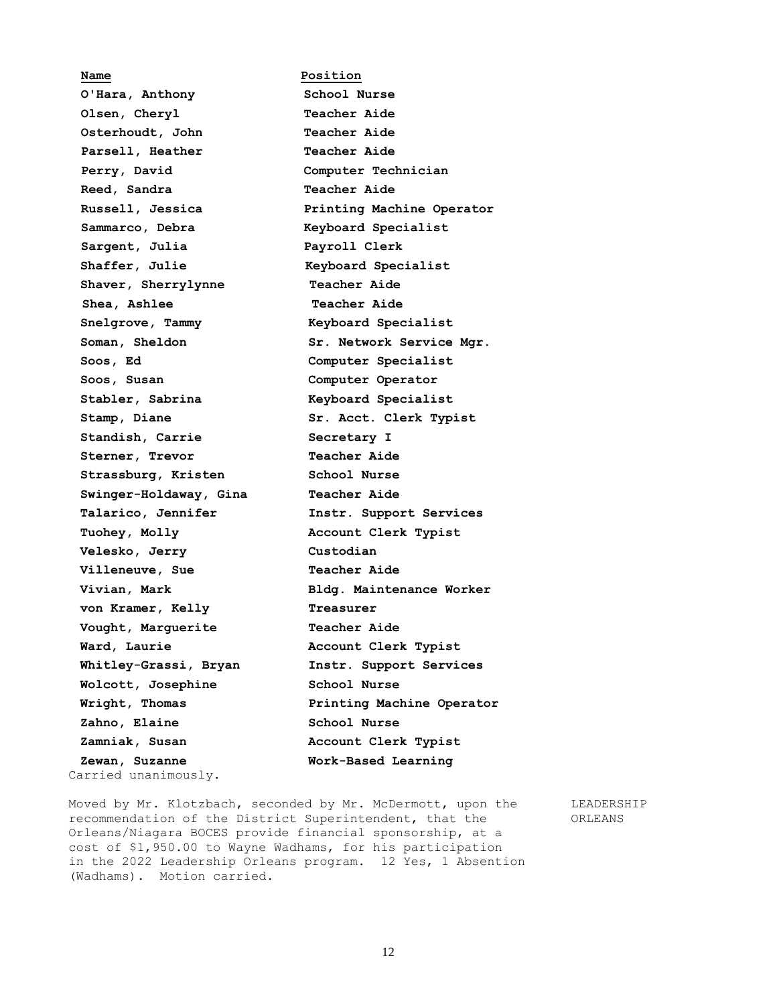**Name Position O'Hara, Anthony School Nurse Olsen, Cheryl Teacher Aide Osterhoudt, John Teacher Aide Parsell, Heather Teacher Aide Perry, David Computer Technician Reed, Sandra Teacher Aide Russell, Jessica Printing Machine Operator Sammarco, Debra Keyboard Specialist Sargent, Julia Payroll Clerk Shaffer, Julie Keyboard Specialist Shaver, Sherrylynne Teacher Aide Shea, Ashlee Teacher Aide Snelgrove, Tammy Keyboard Specialist Soman, Sheldon Sr. Network Service Mgr. Soos, Ed Computer Specialist Soos, Susan Computer Operator Stabler, Sabrina Keyboard Specialist Stamp, Diane Sr. Acct. Clerk Typist Standish, Carrie Secretary I Sterner, Trevor Teacher Aide Strassburg, Kristen School Nurse Swinger-Holdaway, Gina Teacher Aide Talarico, Jennifer Instr. Support Services Tuohey, Molly Account Clerk Typist Velesko, Jerry Custodian Villeneuve, Sue Teacher Aide Vivian, Mark Bldg. Maintenance Worker von Kramer, Kelly Treasurer Vought, Marguerite Teacher Aide Ward, Laurie Account Clerk Typist Whitley-Grassi, Bryan Instr. Support Services Wolcott, Josephine School Nurse Wright, Thomas Printing Machine Operator Zahno, Elaine School Nurse Zamniak, Susan Account Clerk Typist Zewan, Suzanne Work-Based Learning** Carried unanimously.

Moved by Mr. Klotzbach, seconded by Mr. McDermott, upon the LEADERSHIP recommendation of the District Superintendent, that the ORLEANS Orleans/Niagara BOCES provide financial sponsorship, at a cost of \$1,950.00 to Wayne Wadhams, for his participation in the 2022 Leadership Orleans program. 12 Yes, 1 Absention (Wadhams). Motion carried.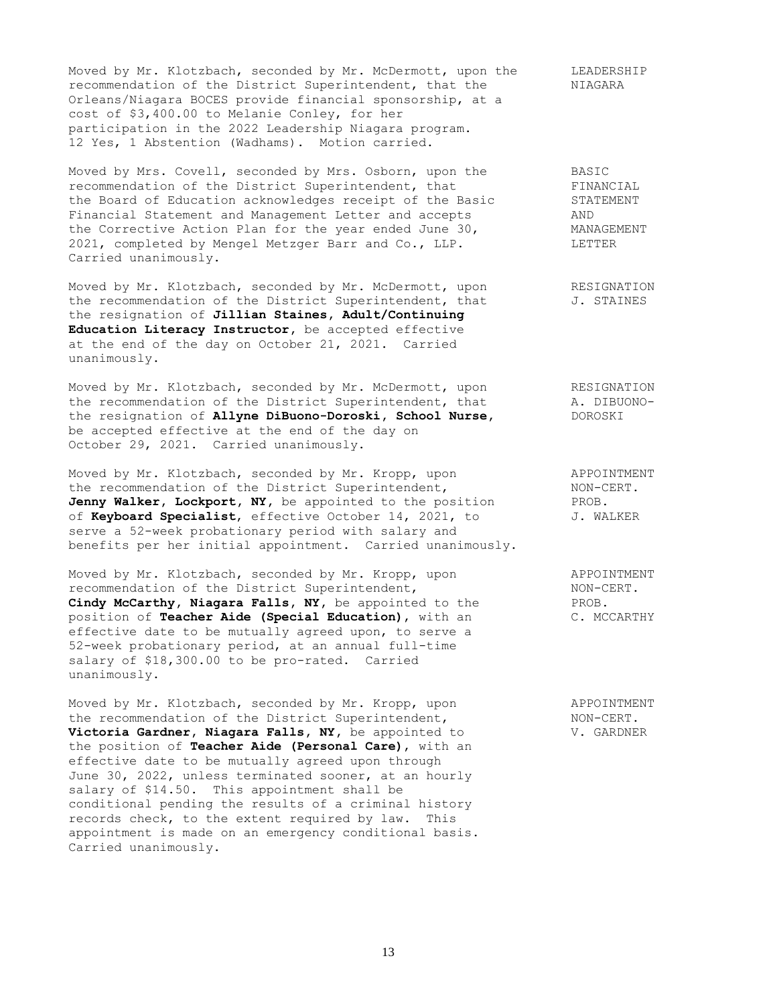Moved by Mr. Klotzbach, seconded by Mr. McDermott, upon the LEADERSHIP recommendation of the District Superintendent, that the NIAGARA Orleans/Niagara BOCES provide financial sponsorship, at a cost of \$3,400.00 to Melanie Conley, for her participation in the 2022 Leadership Niagara program. 12 Yes, 1 Abstention (Wadhams). Motion carried.

Moved by Mrs. Covell, seconded by Mrs. Osborn, upon the BASIC recommendation of the District Superintendent, that FINANCIAL the Board of Education acknowledges receipt of the Basic STATEMENT Financial Statement and Management Letter and accepts AND Financial statement and handyoment exercises in the Corrective Action Plan for the year ended June 30, MANAGEMENT 2021, completed by Mengel Metzger Barr and Co., LLP. LETTER Carried unanimously.

Moved by Mr. Klotzbach, seconded by Mr. McDermott, upon RESIGNATION the recommendation of the District Superintendent, that  $J.$  STAINES the resignation of **Jillian Staines, Adult/Continuing Education Literacy Instructor,** be accepted effective at the end of the day on October 21, 2021. Carried unanimously.

Moved by Mr. Klotzbach, seconded by Mr. McDermott, upon RESIGNATION the recommendation of the District Superintendent, that A. DIBUONOthe resignation of **Allyne DiBuono-Doroski, School Nurse,** DOROSKI be accepted effective at the end of the day on October 29, 2021. Carried unanimously.

Moved by Mr. Klotzbach, seconded by Mr. Kropp, upon APPOINTMENT the recommendation of the District Superintendent, NON-CERT. Jenny Walker, Lockport, NY, be appointed to the position PROB. of **Keyboard Specialist**, effective October 14, 2021, to J. WALKER serve a 52-week probationary period with salary and benefits per her initial appointment. Carried unanimously.

Moved by Mr. Klotzbach, seconded by Mr. Kropp, upon APPOINTMENT recommendation of the District Superintendent, NON-CERT. **Cindy McCarthy, Niagara Falls, NY,** be appointed to the PROB. position of **Teacher Aide (Special Education)**, with an C. MCCARTHY effective date to be mutually agreed upon, to serve a 52-week probationary period, at an annual full-time salary of \$18,300.00 to be pro-rated. Carried unanimously.

Moved by Mr. Klotzbach, seconded by Mr. Kropp, upon APPOINTMENT the recommendation of the District Superintendent, NON-CERT. **Victoria Gardner, Niagara Falls, NY,** be appointed to V. GARDNER the position of **Teacher Aide (Personal Care)**, with an effective date to be mutually agreed upon through June 30, 2022, unless terminated sooner, at an hourly salary of \$14.50. This appointment shall be conditional pending the results of a criminal history records check, to the extent required by law. This appointment is made on an emergency conditional basis. Carried unanimously.